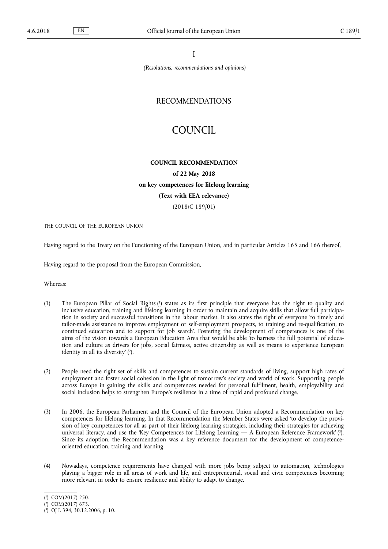I

*(Resolutions, recommendations and opinions)*

# RECOMMENDATIONS

# COUNCIL

## **COUNCIL RECOMMENDATION**

**of 22 May 2018 on key competences for lifelong learning (Text with EEA relevance)**

(2018/C 189/01)

THE COUNCIL OF THE EUROPEAN UNION

Having regard to the Treaty on the Functioning of the European Union, and in particular Articles 165 and 166 thereof,

Having regard to the proposal from the European Commission,

Whereas:

- (1) The European Pillar of Social Rights (<sup>1</sup>) states as its first principle that everyone has the right to quality and inclusive education, training and lifelong learning in order to maintain and acquire skills that allow full participation in society and successful transitions in the labour market. It also states the right of everyone 'to timely and tailor-made assistance to improve employment or self-employment prospects, to training and re-qualification, to continued education and to support for job search'. Fostering the development of competences is one of the aims of the vision towards a European Education Area that would be able 'to harness the full potential of education and culture as drivers for jobs, social fairness, active citizenship as well as means to experience European identity in all its diversity' ( 2 ).
- (2) People need the right set of skills and competences to sustain current standards of living, support high rates of employment and foster social cohesion in the light of tomorrow's society and world of work. Supporting people across Europe in gaining the skills and competences needed for personal fulfilment, health, employability and social inclusion helps to strengthen Europe's resilience in a time of rapid and profound change.
- (3) In 2006, the European Parliament and the Council of the European Union adopted a Recommendation on key competences for lifelong learning. In that Recommendation the Member States were asked 'to develop the provision of key competences for all as part of their lifelong learning strategies, including their strategies for achieving universal literacy, and use the 'Key Competences for Lifelong Learning — A European Reference Framework' (3). Since its adoption, the Recommendation was a key reference document for the development of competenceoriented education, training and learning.
- (4) Nowadays, competence requirements have changed with more jobs being subject to automation, technologies playing a bigger role in all areas of work and life, and entrepreneurial, social and civic competences becoming more relevant in order to ensure resilience and ability to adapt to change.

<sup>(</sup> 1 ) COM(2017) 250.

<sup>(</sup> 2 ) COM(2017) 673.

<sup>(</sup> 3 ) OJ L 394, 30.12.2006, p. 10.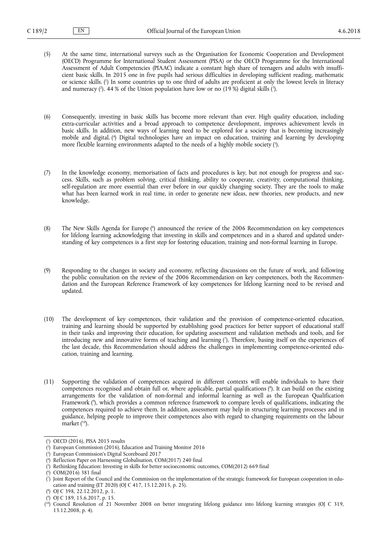- (5) At the same time, international surveys such as the Organisation for Economic Cooperation and Development (OECD) Programme for International Student Assessment (PISA) or the OECD Programme for the International Assessment of Adult Competencies (PIAAC) indicate a constant high share of teenagers and adults with insufficient basic skills. In 2015 one in five pupils had serious difficulties in developing sufficient reading, mathematic or science skills. ( 1 ) In some countries up to one third of adults are proficient at only the lowest levels in literacy and numeracy (?). 44 % of the Union population have low or no (19 %) digital skills (?).
- (6) Consequently, investing in basic skills has become more relevant than ever. High quality education, including extra-curricular activities and a broad approach to competence development, improves achievement levels in basic skills. In addition, new ways of learning need to be explored for a society that is becoming increasingly mobile and digital. ( 4 ) Digital technologies have an impact on education, training and learning by developing more flexible learning environments adapted to the needs of a highly mobile society ( 5 ).
- (7) In the knowledge economy, memorisation of facts and procedures is key, but not enough for progress and success. Skills, such as problem solving, critical thinking, ability to cooperate, creativity, computational thinking, self-regulation are more essential than ever before in our quickly changing society. They are the tools to make what has been learned work in real time, in order to generate new ideas, new theories, new products, and new knowledge.
- (8) The New Skills Agenda for Europe ( 6 ) announced the review of the 2006 Recommendation on key competences for lifelong learning acknowledging that investing in skills and competences and in a shared and updated understanding of key competences is a first step for fostering education, training and non-formal learning in Europe.
- (9) Responding to the changes in society and economy, reflecting discussions on the future of work, and following the public consultation on the review of the 2006 Recommendation on key competences, both the Recommendation and the European Reference Framework of key competences for lifelong learning need to be revised and updated.
- (10) The development of key competences, their validation and the provision of competence-oriented education, training and learning should be supported by establishing good practices for better support of educational staff in their tasks and improving their education, for updating assessment and validation methods and tools, and for introducing new and innovative forms of teaching and learning ('). Therefore, basing itself on the experiences of the last decade, this Recommendation should address the challenges in implementing competence-oriented education, training and learning.
- (11) Supporting the validation of competences acquired in different contexts will enable individuals to have their competences recognised and obtain full or, where applicable, partial qualifications ( 8 ). It can build on the existing arrangements for the validation of non-formal and informal learning as well as the European Qualification Framework ( 9 ), which provides a common reference framework to compare levels of qualifications, indicating the competences required to achieve them. In addition, assessment may help in structuring learning processes and in guidance, helping people to improve their competences also with regard to changing requirements on the labour market ( <sup>10</sup>).

( 8 ) OJ C 398, 22.12.2012, p. 1.

<sup>(</sup> 1 ) OECD (2016), PISA 2015 results

<sup>(</sup> 2 ) European Commission (2016), Education and Training Monitor 2016

<sup>(</sup> 3 ) European Commission's Digital Scoreboard 2017

<sup>(</sup> 4 ) Reflection Paper on Harnessing Globalisation, COM(2017) 240 final

<sup>(</sup> 5 ) Rethinking Education: Investing in skills for better socioeconomic outcomes, COM(2012) 669 final

<sup>(</sup> 6 ) COM(2016) 381 final

<sup>(</sup> 7 ) Joint Report of the Council and the Commission on the implementation of the strategic framework for European cooperation in education and training (ET 2020) (OJ C 417, 15.12.2015, p. 25).

<sup>(</sup> 9 ) OJ C 189, 15.6.2017, p. 15.

<sup>(</sup> <sup>10</sup>) Council Resolution of 21 November 2008 on better integrating lifelong guidance into lifelong learning strategies (OJ C 319, 13.12.2008, p. 4).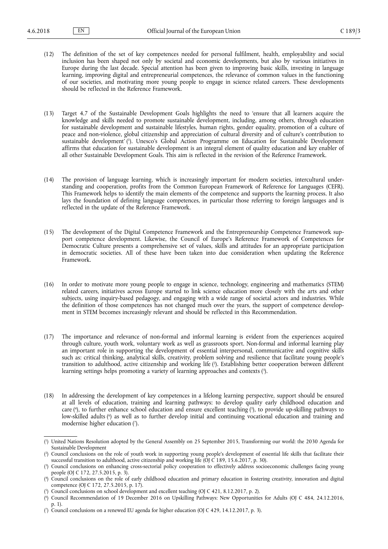- (12) The definition of the set of key competences needed for personal fulfilment, health, employability and social inclusion has been shaped not only by societal and economic developments, but also by various initiatives in Europe during the last decade. Special attention has been given to improving basic skills, investing in language learning, improving digital and entrepreneurial competences, the relevance of common values in the functioning of our societies, and motivating more young people to engage in science related careers. These developments should be reflected in the Reference Framework.
- (13) Target 4.7 of the Sustainable Development Goals highlights the need to 'ensure that all learners acquire the knowledge and skills needed to promote sustainable development, including, among others, through education for sustainable development and sustainable lifestyles, human rights, gender equality, promotion of a culture of peace and non-violence, global citizenship and appreciation of cultural diversity and of culture's contribution to sustainable development' ( 1 ). Unesco's Global Action Programme on Education for Sustainable Development affirms that education for sustainable development is an integral element of quality education and key enabler of all other Sustainable Development Goals. This aim is reflected in the revision of the Reference Framework.
- (14) The provision of language learning, which is increasingly important for modern societies, intercultural understanding and cooperation, profits from the Common European Framework of Reference for Languages (CEFR). This Framework helps to identify the main elements of the competence and supports the learning process. It also lays the foundation of defining language competences, in particular those referring to foreign languages and is reflected in the update of the Reference Framework.
- (15) The development of the Digital Competence Framework and the Entrepreneurship Competence Framework support competence development. Likewise, the Council of Europe's Reference Framework of Competences for Democratic Culture presents a comprehensive set of values, skills and attitudes for an appropriate participation in democratic societies. All of these have been taken into due consideration when updating the Reference Framework.
- (16) In order to motivate more young people to engage in science, technology, engineering and mathematics (STEM) related careers, initiatives across Europe started to link science education more closely with the arts and other subjects, using inquiry-based pedagogy, and engaging with a wide range of societal actors and industries. While the definition of those competences has not changed much over the years, the support of competence development in STEM becomes increasingly relevant and should be reflected in this Recommendation.
- (17) The importance and relevance of non-formal and informal learning is evident from the experiences acquired through culture, youth work, voluntary work as well as grassroots sport. Non-formal and informal learning play an important role in supporting the development of essential interpersonal, communicative and cognitive skills such as: critical thinking, analytical skills, creativity, problem solving and resilience that facilitate young people's transition to adulthood, active citizenship and working life ( 2 ). Establishing better cooperation between different learning settings helps promoting a variety of learning approaches and contexts ( 3 ).
- (18) In addressing the development of key competences in a lifelong learning perspective, support should be ensured at all levels of education, training and learning pathways: to develop quality early childhood education and care ( 4 ), to further enhance school education and ensure excellent teaching ( 5 ), to provide up-skilling pathways to low-skilled adults ( 6 ) as well as to further develop initial and continuing vocational education and training and modernise higher education ( 7 ).

<sup>(</sup> 1 ) United Nations Resolution adopted by the General Assembly on 25 September 2015, Transforming our world: the 2030 Agenda for Sustainable Development

<sup>(</sup> 2 ) Council conclusions on the role of youth work in supporting young people's development of essential life skills that facilitate their successful transition to adulthood, active citizenship and working life (OJ C 189, 15.6.2017, p. 30).

<sup>(</sup> 3 ) Council conclusions on enhancing cross-sectorial policy cooperation to effectively address socioeconomic challenges facing young people (OJ C 172, 27.5.2015, p. 3).

<sup>(</sup> 4 ) Council conclusions on the role of early childhood education and primary education in fostering creativity, innovation and digital competence (OJ C 172, 27.5.2015, p. 17).

<sup>(</sup> 5 ) Council conclusions on school development and excellent teaching (OJ C 421, 8.12.2017, p. 2).

<sup>(</sup> 6 ) Council Recommendation of 19 December 2016 on Upskilling Pathways: New Opportunities for Adults (OJ C 484, 24.12.2016, p. 1).

<sup>(</sup> 7 ) Council conclusions on a renewed EU agenda for higher education (OJ C 429, 14.12.2017, p. 3).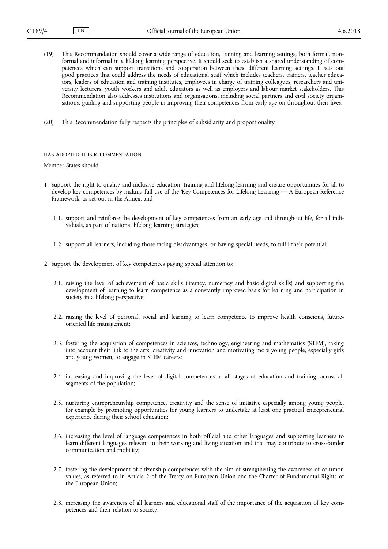- (19) This Recommendation should cover a wide range of education, training and learning settings, both formal, nonformal and informal in a lifelong learning perspective. It should seek to establish a shared understanding of competences which can support transitions and cooperation between these different learning settings. It sets out good practices that could address the needs of educational staff which includes teachers, trainers, teacher educators, leaders of education and training institutes, employees in charge of training colleagues, researchers and university lecturers, youth workers and adult educators as well as employers and labour market stakeholders. This Recommendation also addresses institutions and organisations, including social partners and civil society organisations, guiding and supporting people in improving their competences from early age on throughout their lives.
- (20) This Recommendation fully respects the principles of subsidiarity and proportionality,

## HAS ADOPTED THIS RECOMMENDATION

Member States should:

- 1. support the right to quality and inclusive education, training and lifelong learning and ensure opportunities for all to develop key competences by making full use of the 'Key Competences for Lifelong Learning — A European Reference Framework' as set out in the Annex, and
	- 1.1. support and reinforce the development of key competences from an early age and throughout life, for all individuals, as part of national lifelong learning strategies;
	- 1.2. support all learners, including those facing disadvantages, or having special needs, to fulfil their potential;
- 2. support the development of key competences paying special attention to:
	- 2.1. raising the level of achievement of basic skills (literacy, numeracy and basic digital skills) and supporting the development of learning to learn competence as a constantly improved basis for learning and participation in society in a lifelong perspective;
	- 2.2. raising the level of personal, social and learning to learn competence to improve health conscious, futureoriented life management;
	- 2.3. fostering the acquisition of competences in sciences, technology, engineering and mathematics (STEM), taking into account their link to the arts, creativity and innovation and motivating more young people, especially girls and young women, to engage in STEM careers;
	- 2.4. increasing and improving the level of digital competences at all stages of education and training, across all segments of the population;
	- 2.5. nurturing entrepreneurship competence, creativity and the sense of initiative especially among young people, for example by promoting opportunities for young learners to undertake at least one practical entrepreneurial experience during their school education;
	- 2.6. increasing the level of language competences in both official and other languages and supporting learners to learn different languages relevant to their working and living situation and that may contribute to cross-border communication and mobility;
	- 2.7. fostering the development of citizenship competences with the aim of strengthening the awareness of common values, as referred to in Article 2 of the Treaty on European Union and the Charter of Fundamental Rights of the European Union;
	- 2.8. increasing the awareness of all learners and educational staff of the importance of the acquisition of key competences and their relation to society;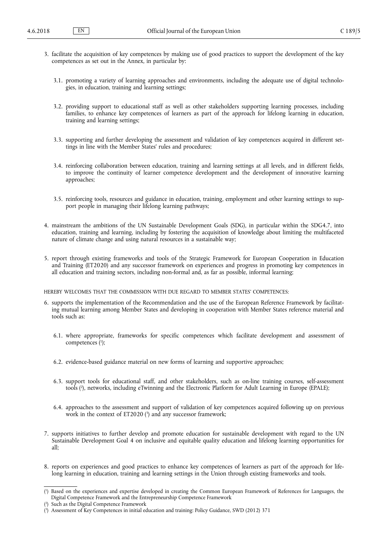- 3. facilitate the acquisition of key competences by making use of good practices to support the development of the key competences as set out in the Annex, in particular by:
	- 3.1. promoting a variety of learning approaches and environments, including the adequate use of digital technologies, in education, training and learning settings;
	- 3.2. providing support to educational staff as well as other stakeholders supporting learning processes, including families, to enhance key competences of learners as part of the approach for lifelong learning in education, training and learning settings;
	- 3.3. supporting and further developing the assessment and validation of key competences acquired in different settings in line with the Member States' rules and procedures;
	- 3.4. reinforcing collaboration between education, training and learning settings at all levels, and in different fields, to improve the continuity of learner competence development and the development of innovative learning approaches;
	- 3.5. reinforcing tools, resources and guidance in education, training, employment and other learning settings to support people in managing their lifelong learning pathways;
- 4. mainstream the ambitions of the UN Sustainable Development Goals (SDG), in particular within the SDG4.7, into education, training and learning, including by fostering the acquisition of knowledge about limiting the multifaceted nature of climate change and using natural resources in a sustainable way;
- 5. report through existing frameworks and tools of the Strategic Framework for European Cooperation in Education and Training (ET2020) and any successor framework on experiences and progress in promoting key competences in all education and training sectors, including non-formal and, as far as possible, informal learning;

HEREBY WELCOMES THAT THE COMMISSION WITH DUE REGARD TO MEMBER STATES' COMPETENCES:

- 6. supports the implementation of the Recommendation and the use of the European Reference Framework by facilitating mutual learning among Member States and developing in cooperation with Member States reference material and tools such as:
	- 6.1. where appropriate, frameworks for specific competences which facilitate development and assessment of competences ( 1 );
	- 6.2. evidence-based guidance material on new forms of learning and supportive approaches;
	- 6.3. support tools for educational staff, and other stakeholders, such as on-line training courses, self-assessment tools ( 2 ), networks, including eTwinning and the Electronic Platform for Adult Learning in Europe (EPALE);
	- 6.4. approaches to the assessment and support of validation of key competences acquired following up on previous work in the context of ET2020 ( 3 ) and any successor framework;
- 7. supports initiatives to further develop and promote education for sustainable development with regard to the UN Sustainable Development Goal 4 on inclusive and equitable quality education and lifelong learning opportunities for all;
- 8. reports on experiences and good practices to enhance key competences of learners as part of the approach for lifelong learning in education, training and learning settings in the Union through existing frameworks and tools.

<sup>(</sup> 1 ) Based on the experiences and expertise developed in creating the Common European Framework of References for Languages, the Digital Competence Framework and the Entrepreneurship Competence Framework

<sup>(</sup> 2 ) Such as the Digital Competence Framework

<sup>(</sup> 3 ) Assessment of Key Competences in initial education and training: Policy Guidance, SWD (2012) 371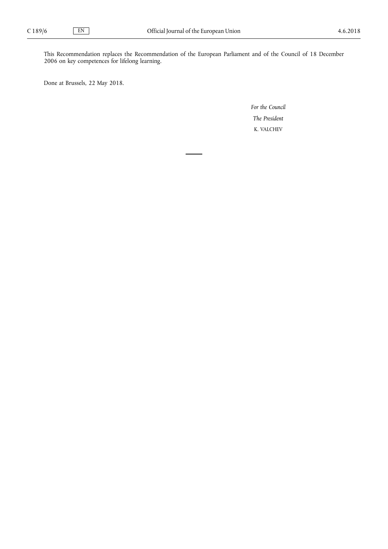This Recommendation replaces the Recommendation of the European Parliament and of the Council of 18 December 2006 on key competences for lifelong learning.

Done at Brussels, 22 May 2018.

*For the Council The President* K. VALCHEV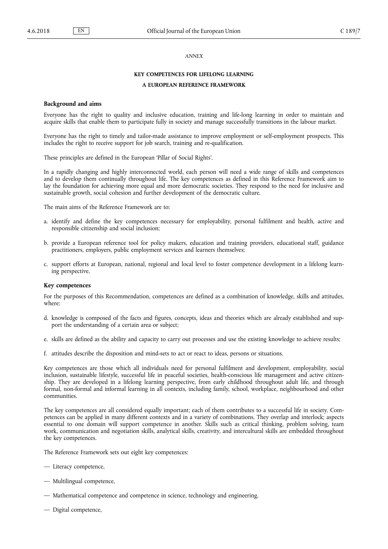#### *ANNEX*

## **KEY COMPETENCES FOR LIFELONG LEARNING**

# **A EUROPEAN REFERENCE FRAMEWORK**

#### **Background and aims**

Everyone has the right to quality and inclusive education, training and life-long learning in order to maintain and acquire skills that enable them to participate fully in society and manage successfully transitions in the labour market.

Everyone has the right to timely and tailor-made assistance to improve employment or self-employment prospects. This includes the right to receive support for job search, training and re-qualification.

These principles are defined in the European 'Pillar of Social Rights'.

In a rapidly changing and highly interconnected world, each person will need a wide range of skills and competences and to develop them continually throughout life. The key competences as defined in this Reference Framework aim to lay the foundation for achieving more equal and more democratic societies. They respond to the need for inclusive and sustainable growth, social cohesion and further development of the democratic culture.

The main aims of the Reference Framework are to:

- a. identify and define the key competences necessary for employability, personal fulfilment and health, active and responsible citizenship and social inclusion;
- b. provide a European reference tool for policy makers, education and training providers, educational staff, guidance practitioners, employers, public employment services and learners themselves;
- c. support efforts at European, national, regional and local level to foster competence development in a lifelong learning perspective.

#### **Key competences**

For the purposes of this Recommendation, competences are defined as a combination of knowledge, skills and attitudes, where:

- d. knowledge is composed of the facts and figures, concepts, ideas and theories which are already established and support the understanding of a certain area or subject;
- e. skills are defined as the ability and capacity to carry out processes and use the existing knowledge to achieve results;
- f. attitudes describe the disposition and mind-sets to act or react to ideas, persons or situations.

Key competences are those which all individuals need for personal fulfilment and development, employability, social inclusion, sustainable lifestyle, successful life in peaceful societies, health-conscious life management and active citizenship. They are developed in a lifelong learning perspective, from early childhood throughout adult life, and through formal, non-formal and informal learning in all contexts, including family, school, workplace, neighbourhood and other communities.

The key competences are all considered equally important; each of them contributes to a successful life in society. Competences can be applied in many different contexts and in a variety of combinations. They overlap and interlock; aspects essential to one domain will support competence in another. Skills such as critical thinking, problem solving, team work, communication and negotiation skills, analytical skills, creativity, and intercultural skills are embedded throughout the key competences.

The Reference Framework sets out eight key competences:

- Literacy competence,
- Multilingual competence,
- Mathematical competence and competence in science, technology and engineering,
- Digital competence,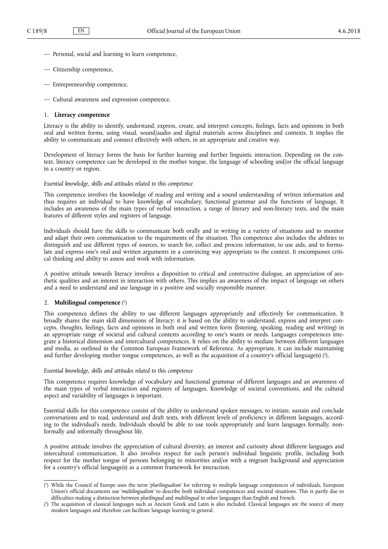- Personal, social and learning to learn competence,
- Citizenship competence,
- Entrepreneurship competence,
- Cultural awareness and expression competence.

# 1. **Literacy competence**

Literacy is the ability to identify, understand, express, create, and interpret concepts, feelings, facts and opinions in both oral and written forms, using visual, sound/audio and digital materials across disciplines and contexts. It implies the ability to communicate and connect effectively with others, in an appropriate and creative way.

Development of literacy forms the basis for further learning and further linguistic interaction. Depending on the context, literacy competence can be developed in the mother tongue, the language of schooling and/or the official language in a country or region.

## *Essential knowledge, skills and attitudes related to this competence*

This competence involves the knowledge of reading and writing and a sound understanding of written information and thus requires an individual to have knowledge of vocabulary, functional grammar and the functions of language. It includes an awareness of the main types of verbal interaction, a range of literary and non-literary texts, and the main features of different styles and registers of language.

Individuals should have the skills to communicate both orally and in writing in a variety of situations and to monitor and adapt their own communication to the requirements of the situation. This competence also includes the abilities to distinguish and use different types of sources, to search for, collect and process information, to use aids, and to formulate and express one's oral and written arguments in a convincing way appropriate to the context. It encompasses critical thinking and ability to assess and work with information.

A positive attitude towards literacy involves a disposition to critical and constructive dialogue, an appreciation of aesthetic qualities and an interest in interaction with others. This implies an awareness of the impact of language on others and a need to understand and use language in a positive and socially responsible manner.

#### 2. **Multilingual competence** ( 1 )

This competence defines the ability to use different languages appropriately and effectively for communication. It broadly shares the main skill dimensions of literacy: it is based on the ability to understand, express and interpret concepts, thoughts, feelings, facts and opinions in both oral and written form (listening, speaking, reading and writing) in an appropriate range of societal and cultural contexts according to one's wants or needs. Languages competences integrate a historical dimension and intercultural competences. It relies on the ability to mediate between different languages and media, as outlined in the Common European Framework of Reference. As appropriate, it can include maintaining and further developing mother tongue competences, as well as the acquisition of a country's official language(s) (?).

# *Essential knowledge, skills and attitudes related to this competence*

This competence requires knowledge of vocabulary and functional grammar of different languages and an awareness of the main types of verbal interaction and registers of languages. Knowledge of societal conventions, and the cultural aspect and variability of languages is important.

Essential skills for this competence consist of the ability to understand spoken messages, to initiate, sustain and conclude conversations and to read, understand and draft texts, with different levels of proficiency in different languages, according to the individual's needs. Individuals should be able to use tools appropriately and learn languages formally, nonformally and informally throughout life.

A positive attitude involves the appreciation of cultural diversity, an interest and curiosity about different languages and intercultural communication. It also involves respect for each person's individual linguistic profile, including both respect for the mother tongue of persons belonging to minorities and/or with a migrant background and appreciation for a country's official language(s) as a common framework for interaction.

<sup>(</sup> 1 ) While the Council of Europe uses the term '*plurilingualism*' for referring to multiple language competences of individuals, European Union's official documents use '*multilingualism*' to describe both individual competences and societal situations. This is partly due to difficulties making a distinction between *plurilingual* and *multilingual* in other languages than English and French.

<sup>(</sup> 2 ) The acquisition of classical languages such as Ancient Greek and Latin is also included. Classical languages are the source of many modern languages and therefore can facilitate language learning in general.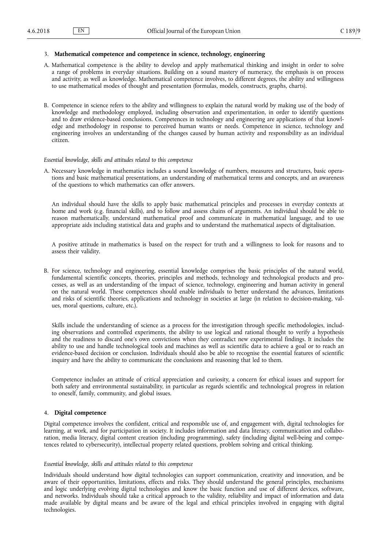## 3. **Mathematical competence and competence in science, technology, engineering**

- A. Mathematical competence is the ability to develop and apply mathematical thinking and insight in order to solve a range of problems in everyday situations. Building on a sound mastery of numeracy, the emphasis is on process and activity, as well as knowledge. Mathematical competence involves, to different degrees, the ability and willingness to use mathematical modes of thought and presentation (formulas, models, constructs, graphs, charts).
- B. Competence in science refers to the ability and willingness to explain the natural world by making use of the body of knowledge and methodology employed, including observation and experimentation, in order to identify questions and to draw evidence-based conclusions. Competences in technology and engineering are applications of that knowledge and methodology in response to perceived human wants or needs. Competence in science, technology and engineering involves an understanding of the changes caused by human activity and responsibility as an individual citizen.

## *Essential knowledge, skills and attitudes related to this competence*

A. Necessary knowledge in mathematics includes a sound knowledge of numbers, measures and structures, basic operations and basic mathematical presentations, an understanding of mathematical terms and concepts, and an awareness of the questions to which mathematics can offer answers.

An individual should have the skills to apply basic mathematical principles and processes in everyday contexts at home and work (e.g. financial skills), and to follow and assess chains of arguments. An individual should be able to reason mathematically, understand mathematical proof and communicate in mathematical language, and to use appropriate aids including statistical data and graphs and to understand the mathematical aspects of digitalisation.

A positive attitude in mathematics is based on the respect for truth and a willingness to look for reasons and to assess their validity.

B. For science, technology and engineering, essential knowledge comprises the basic principles of the natural world, fundamental scientific concepts, theories, principles and methods, technology and technological products and processes, as well as an understanding of the impact of science, technology, engineering and human activity in general on the natural world. These competences should enable individuals to better understand the advances, limitations and risks of scientific theories, applications and technology in societies at large (in relation to decision-making, values, moral questions, culture, etc.).

Skills include the understanding of science as a process for the investigation through specific methodologies, including observations and controlled experiments, the ability to use logical and rational thought to verify a hypothesis and the readiness to discard one's own convictions when they contradict new experimental findings. It includes the ability to use and handle technological tools and machines as well as scientific data to achieve a goal or to reach an evidence-based decision or conclusion. Individuals should also be able to recognise the essential features of scientific inquiry and have the ability to communicate the conclusions and reasoning that led to them.

Competence includes an attitude of critical appreciation and curiosity, a concern for ethical issues and support for both safety and environmental sustainability, in particular as regards scientific and technological progress in relation to oneself, family, community, and global issues.

## 4. **Digital competence**

Digital competence involves the confident, critical and responsible use of, and engagement with, digital technologies for learning, at work, and for participation in society. It includes information and data literacy, communication and collaboration, media literacy, digital content creation (including programming), safety (including digital well-being and competences related to cybersecurity), intellectual property related questions, problem solving and critical thinking.

## *Essential knowledge, skills and attitudes related to this competence*

Individuals should understand how digital technologies can support communication, creativity and innovation, and be aware of their opportunities, limitations, effects and risks. They should understand the general principles, mechanisms and logic underlying evolving digital technologies and know the basic function and use of different devices, software, and networks. Individuals should take a critical approach to the validity, reliability and impact of information and data made available by digital means and be aware of the legal and ethical principles involved in engaging with digital technologies.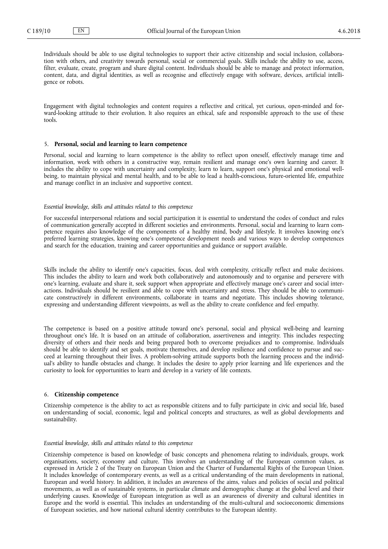Individuals should be able to use digital technologies to support their active citizenship and social inclusion, collaboration with others, and creativity towards personal, social or commercial goals. Skills include the ability to use, access, filter, evaluate, create, program and share digital content. Individuals should be able to manage and protect information, content, data, and digital identities, as well as recognise and effectively engage with software, devices, artificial intelligence or robots.

Engagement with digital technologies and content requires a reflective and critical, yet curious, open-minded and forward-looking attitude to their evolution. It also requires an ethical, safe and responsible approach to the use of these tools.

## 5. **Personal, social and learning to learn competence**

Personal, social and learning to learn competence is the ability to reflect upon oneself, effectively manage time and information, work with others in a constructive way, remain resilient and manage one's own learning and career. It includes the ability to cope with uncertainty and complexity, learn to learn, support one's physical and emotional wellbeing, to maintain physical and mental health, and to be able to lead a health-conscious, future-oriented life, empathize and manage conflict in an inclusive and supportive context.

## *Essential knowledge, skills and attitudes related to this competence*

For successful interpersonal relations and social participation it is essential to understand the codes of conduct and rules of communication generally accepted in different societies and environments. Personal, social and learning to learn competence requires also knowledge of the components of a healthy mind, body and lifestyle. It involves knowing one's preferred learning strategies, knowing one's competence development needs and various ways to develop competences and search for the education, training and career opportunities and guidance or support available.

Skills include the ability to identify one's capacities, focus, deal with complexity, critically reflect and make decisions. This includes the ability to learn and work both collaboratively and autonomously and to organise and persevere with one's learning, evaluate and share it, seek support when appropriate and effectively manage one's career and social interactions. Individuals should be resilient and able to cope with uncertainty and stress. They should be able to communicate constructively in different environments, collaborate in teams and negotiate. This includes showing tolerance, expressing and understanding different viewpoints, as well as the ability to create confidence and feel empathy.

The competence is based on a positive attitude toward one's personal, social and physical well-being and learning throughout one's life. It is based on an attitude of collaboration, assertiveness and integrity. This includes respecting diversity of others and their needs and being prepared both to overcome prejudices and to compromise. Individuals should be able to identify and set goals, motivate themselves, and develop resilience and confidence to pursue and succeed at learning throughout their lives. A problem-solving attitude supports both the learning process and the individual's ability to handle obstacles and change. It includes the desire to apply prior learning and life experiences and the curiosity to look for opportunities to learn and develop in a variety of life contexts.

#### 6. **Citizenship competence**

Citizenship competence is the ability to act as responsible citizens and to fully participate in civic and social life, based on understanding of social, economic, legal and political concepts and structures, as well as global developments and sustainability.

## *Essential knowledge, skills and attitudes related to this competence*

Citizenship competence is based on knowledge of basic concepts and phenomena relating to individuals, groups, work organisations, society, economy and culture. This involves an understanding of the European common values, as expressed in Article 2 of the Treaty on European Union and the Charter of Fundamental Rights of the European Union. It includes knowledge of contemporary events, as well as a critical understanding of the main developments in national, European and world history. In addition, it includes an awareness of the aims, values and policies of social and political movements, as well as of sustainable systems, in particular climate and demographic change at the global level and their underlying causes. Knowledge of European integration as well as an awareness of diversity and cultural identities in Europe and the world is essential. This includes an understanding of the multi-cultural and socioeconomic dimensions of European societies, and how national cultural identity contributes to the European identity.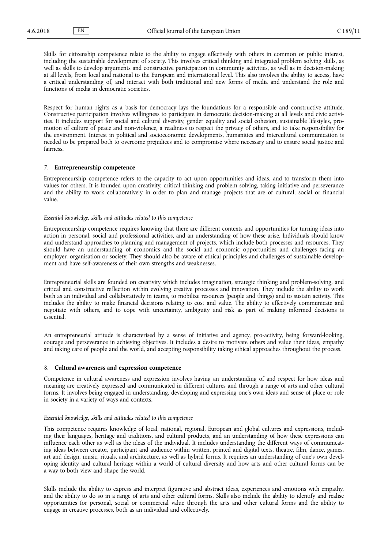Skills for citizenship competence relate to the ability to engage effectively with others in common or public interest, including the sustainable development of society. This involves critical thinking and integrated problem solving skills, as well as skills to develop arguments and constructive participation in community activities, as well as in decision-making at all levels, from local and national to the European and international level. This also involves the ability to access, have a critical understanding of, and interact with both traditional and new forms of media and understand the role and functions of media in democratic societies.

Respect for human rights as a basis for democracy lays the foundations for a responsible and constructive attitude. Constructive participation involves willingness to participate in democratic decision-making at all levels and civic activities. It includes support for social and cultural diversity, gender equality and social cohesion, sustainable lifestyles, promotion of culture of peace and non-violence, a readiness to respect the privacy of others, and to take responsibility for the environment. Interest in political and socioeconomic developments, humanities and intercultural communication is needed to be prepared both to overcome prejudices and to compromise where necessary and to ensure social justice and fairness.

## 7. **Entrepreneurship competence**

Entrepreneurship competence refers to the capacity to act upon opportunities and ideas, and to transform them into values for others. It is founded upon creativity, critical thinking and problem solving, taking initiative and perseverance and the ability to work collaboratively in order to plan and manage projects that are of cultural, social or financial value.

# *Essential knowledge, skills and attitudes related to this competence*

Entrepreneurship competence requires knowing that there are different contexts and opportunities for turning ideas into action in personal, social and professional activities, and an understanding of how these arise. Individuals should know and understand approaches to planning and management of projects, which include both processes and resources. They should have an understanding of economics and the social and economic opportunities and challenges facing an employer, organisation or society. They should also be aware of ethical principles and challenges of sustainable development and have self-awareness of their own strengths and weaknesses.

Entrepreneurial skills are founded on creativity which includes imagination, strategic thinking and problem-solving, and critical and constructive reflection within evolving creative processes and innovation. They include the ability to work both as an individual and collaboratively in teams, to mobilize resources (people and things) and to sustain activity. This includes the ability to make financial decisions relating to cost and value. The ability to effectively communicate and negotiate with others, and to cope with uncertainty, ambiguity and risk as part of making informed decisions is essential.

An entrepreneurial attitude is characterised by a sense of initiative and agency, pro-activity, being forward-looking, courage and perseverance in achieving objectives. It includes a desire to motivate others and value their ideas, empathy and taking care of people and the world, and accepting responsibility taking ethical approaches throughout the process.

## 8. **Cultural awareness and expression competence**

Competence in cultural awareness and expression involves having an understanding of and respect for how ideas and meaning are creatively expressed and communicated in different cultures and through a range of arts and other cultural forms. It involves being engaged in understanding, developing and expressing one's own ideas and sense of place or role in society in a variety of ways and contexts.

## *Essential knowledge, skills and attitudes related to this competence*

This competence requires knowledge of local, national, regional, European and global cultures and expressions, including their languages, heritage and traditions, and cultural products, and an understanding of how these expressions can influence each other as well as the ideas of the individual. It includes understanding the different ways of communicating ideas between creator, participant and audience within written, printed and digital texts, theatre, film, dance, games, art and design, music, rituals, and architecture, as well as hybrid forms. It requires an understanding of one's own developing identity and cultural heritage within a world of cultural diversity and how arts and other cultural forms can be a way to both view and shape the world.

Skills include the ability to express and interpret figurative and abstract ideas, experiences and emotions with empathy, and the ability to do so in a range of arts and other cultural forms. Skills also include the ability to identify and realise opportunities for personal, social or commercial value through the arts and other cultural forms and the ability to engage in creative processes, both as an individual and collectively.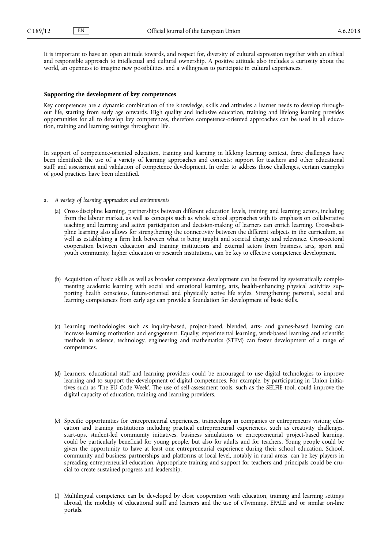It is important to have an open attitude towards, and respect for, diversity of cultural expression together with an ethical and responsible approach to intellectual and cultural ownership. A positive attitude also includes a curiosity about the world, an openness to imagine new possibilities, and a willingness to participate in cultural experiences.

## **Supporting the development of key competences**

Key competences are a dynamic combination of the knowledge, skills and attitudes a learner needs to develop throughout life, starting from early age onwards. High quality and inclusive education, training and lifelong learning provides opportunities for all to develop key competences, therefore competence-oriented approaches can be used in all education, training and learning settings throughout life.

In support of competence-oriented education, training and learning in lifelong learning context, three challenges have been identified: the use of a variety of learning approaches and contexts; support for teachers and other educational staff; and assessment and validation of competence development. In order to address those challenges, certain examples of good practices have been identified.

- a. *A variety of learning approaches and environments*
	- (a) Cross-discipline learning, partnerships between different education levels, training and learning actors, including from the labour market, as well as concepts such as whole school approaches with its emphasis on collaborative teaching and learning and active participation and decision-making of learners can enrich learning. Cross-discipline learning also allows for strengthening the connectivity between the different subjects in the curriculum, as well as establishing a firm link between what is being taught and societal change and relevance. Cross-sectoral cooperation between education and training institutions and external actors from business, arts, sport and youth community, higher education or research institutions, can be key to effective competence development.
	- (b) Acquisition of basic skills as well as broader competence development can be fostered by systematically complementing academic learning with social and emotional learning, arts, health-enhancing physical activities supporting health conscious, future-oriented and physically active life styles. Strengthening personal, social and learning competences from early age can provide a foundation for development of basic skills.
	- (c) Learning methodologies such as inquiry-based, project-based, blended, arts- and games-based learning can increase learning motivation and engagement. Equally, experimental learning, work-based learning and scientific methods in science, technology, engineering and mathematics (STEM) can foster development of a range of competences.
	- (d) Learners, educational staff and learning providers could be encouraged to use digital technologies to improve learning and to support the development of digital competences. For example, by participating in Union initiatives such as 'The EU Code Week'. The use of self-assessment tools, such as the SELFIE tool, could improve the digital capacity of education, training and learning providers.
	- (e) Specific opportunities for entrepreneurial experiences, traineeships in companies or entrepreneurs visiting education and training institutions including practical entrepreneurial experiences, such as creativity challenges, start-ups, student-led community initiatives, business simulations or entrepreneurial project-based learning, could be particularly beneficial for young people, but also for adults and for teachers. Young people could be given the opportunity to have at least one entrepreneurial experience during their school education. School, community and business partnerships and platforms at local level, notably in rural areas, can be key players in spreading entrepreneurial education. Appropriate training and support for teachers and principals could be crucial to create sustained progress and leadership.
	- (f) Multilingual competence can be developed by close cooperation with education, training and learning settings abroad, the mobility of educational staff and learners and the use of eTwinning, EPALE and or similar on-line portals.